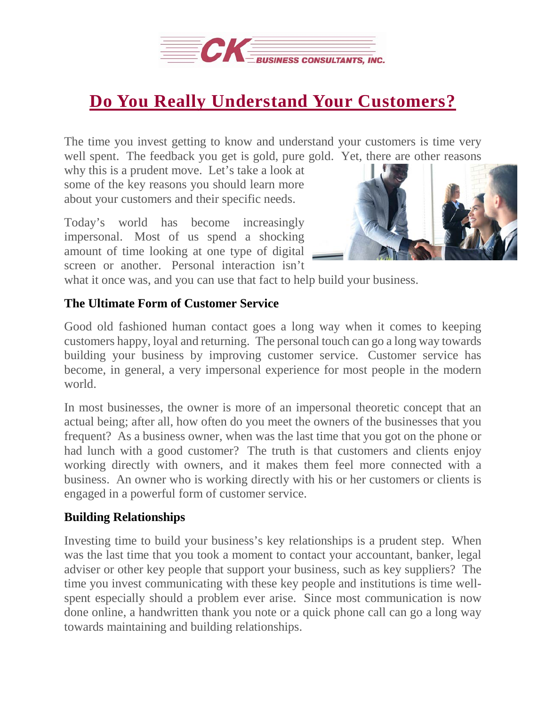

## **Do You Really Understand Your [Customers?](http://deal-studio.com/really-understand-customers/)**

The time you invest getting to know and understand your customers is time very well spent. The feedback you get is gold, pure gold. Yet, there are other reasons

why this is a prudent move. Let's take a look at some of the key reasons you should learn more about your customers and their specific needs.

Today's world has become increasingly impersonal. Most of us spend a shocking amount of time looking at one type of digital screen or another. Personal interaction isn't



what it once was, and you can use that fact to help build your business.

## **The Ultimate Form of Customer Service**

Good old fashioned human contact goes a long way when it comes to keeping customers happy, loyal and returning. The personal touch can go a long way towards building your business by improving customer service. Customer service has become, in general, a very impersonal experience for most people in the modern world.

In most businesses, the owner is more of an impersonal theoretic concept that an actual being; after all, how often do you meet the owners of the businesses that you frequent? As a business owner, when was the last time that you got on the phone or had lunch with a good customer? The truth is that customers and clients enjoy working directly with owners, and it makes them feel more connected with a business. An owner who is working directly with his or her customers or clients is engaged in a powerful form of customer service.

## **Building Relationships**

Investing time to build your business's key relationships is a prudent step. When was the last time that you took a moment to contact your accountant, banker, legal adviser or other key people that support your business, such as key suppliers? The time you invest communicating with these key people and institutions is time wellspent especially should a problem ever arise. Since most communication is now done online, a handwritten thank you note or a quick phone call can go a long way towards maintaining and building relationships.